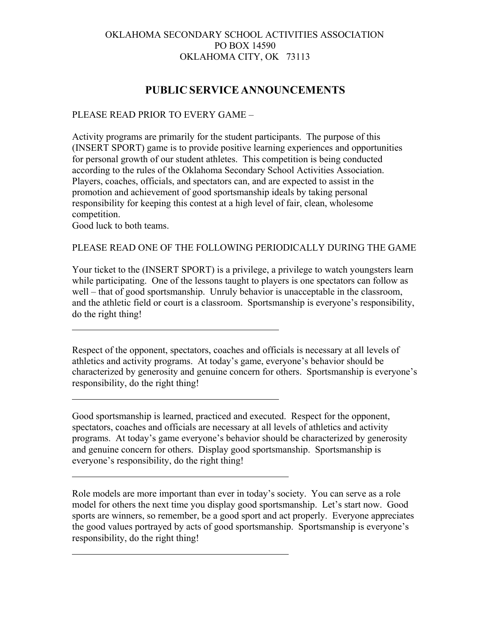## OKLAHOMA SECONDARY SCHOOL ACTIVITIES ASSOCIATION PO BOX 14590 OKLAHOMA CITY, OK 73113

# **PUBLIC SERVICE ANNOUNCEMENTS**

### PLEASE READ PRIOR TO EVERY GAME –

Activity programs are primarily for the student participants. The purpose of this (INSERT SPORT) game is to provide positive learning experiences and opportunities for personal growth of our student athletes. This competition is being conducted according to the rules of the Oklahoma Secondary School Activities Association. Players, coaches, officials, and spectators can, and are expected to assist in the promotion and achievement of good sportsmanship ideals by taking personal responsibility for keeping this contest at a high level of fair, clean, wholesome competition.

Good luck to both teams.

#### PLEASE READ ONE OF THE FOLLOWING PERIODICALLY DURING THE GAME

Your ticket to the (INSERT SPORT) is a privilege, a privilege to watch youngsters learn while participating. One of the lessons taught to players is one spectators can follow as well – that of good sportsmanship. Unruly behavior is unacceptable in the classroom, and the athletic field or court is a classroom. Sportsmanship is everyone's responsibility, do the right thing!

Respect of the opponent, spectators, coaches and officials is necessary at all levels of athletics and activity programs. At today's game, everyone's behavior should be characterized by generosity and genuine concern for others. Sportsmanship is everyone's responsibility, do the right thing!

Good sportsmanship is learned, practiced and executed. Respect for the opponent, spectators, coaches and officials are necessary at all levels of athletics and activity programs. At today's game everyone's behavior should be characterized by generosity and genuine concern for others. Display good sportsmanship. Sportsmanship is everyone's responsibility, do the right thing!

Role models are more important than ever in today's society. You can serve as a role model for others the next time you display good sportsmanship. Let's start now. Good sports are winners, so remember, be a good sport and act properly. Everyone appreciates the good values portrayed by acts of good sportsmanship. Sportsmanship is everyone's responsibility, do the right thing!